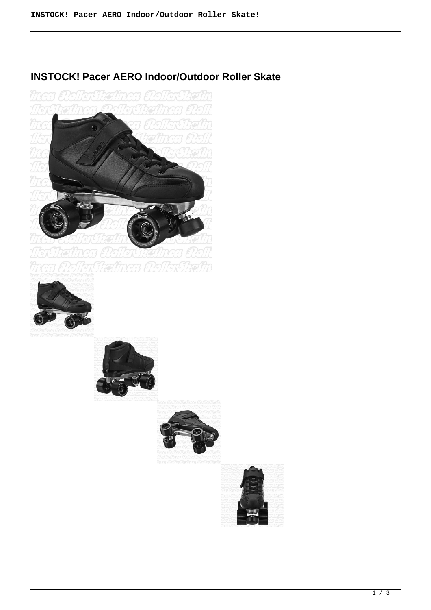